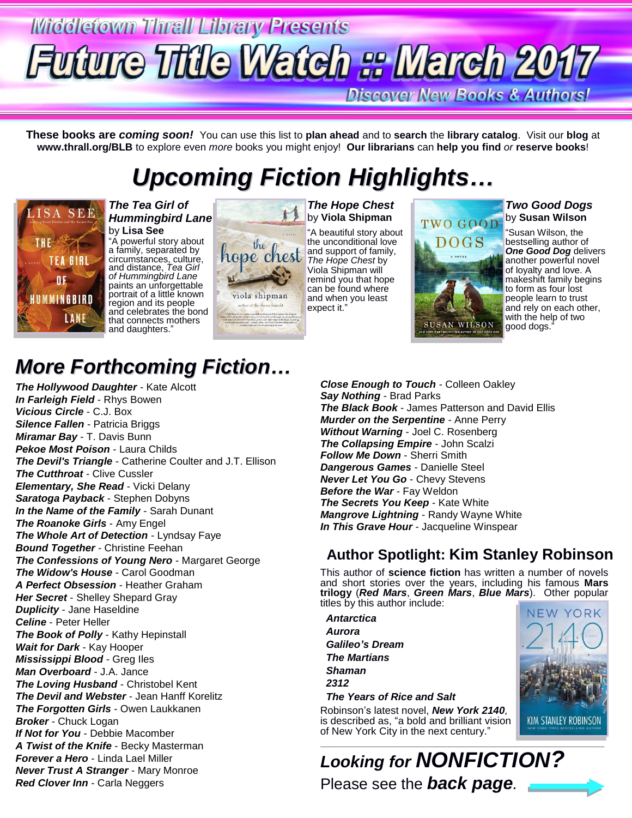# **Middletown Thrall Library Presents** Future Title Watch :: March 2017

**Discover New Books & Authors!** 

**These books are** *coming soon!* You can use this list to **plan ahead** and to **search** the **library catalog**. Visit our **blog** at **www.thrall.org/BLB** to explore even *more* books you might enjoy! **Our librarians** can **help you find** *or* **reserve books**!

## *Upcoming Fiction Highlights…*



*The Tea Girl of Hummingbird Lane* by **Lisa See**

"A powerful story about a family, separated by circumstances, culture, and distance, *Tea Girl of Hummingbird Lane* paints an unforgettable portrait of a little known region and its people and celebrates the bond that connects mothers and daughters.



*The Hope Chest* by **Viola Shipman** "A beautiful story about the unconditional love and support of family, *The Hope Chest* by Viola Shipman will remind you that hope

TWO GOOD **DOGS SUSAN WILSON** 

*Two Good Dogs* by **Susan Wilson**

"Susan Wilson, the bestselling author of *One Good Dog* delivers another powerful novel of loyalty and love. A makeshift family begins to form as four lost people learn to trust and rely on each other, with the help of two good dogs."

## *More Forthcoming Fiction…*

*The Hollywood Daughter* - Kate Alcott *In Farleigh Field* - Rhys Bowen *Vicious Circle* - C.J. Box *Silence Fallen* - Patricia Briggs *Miramar Bay* - T. Davis Bunn *Pekoe Most Poison* - Laura Childs *The Devil's Triangle* - Catherine Coulter and J.T. Ellison *The Cutthroat* - Clive Cussler *Elementary, She Read* - Vicki Delany *Saratoga Payback* - Stephen Dobyns *In the Name of the Family* - Sarah Dunant *The Roanoke Girls* - Amy Engel *The Whole Art of Detection* - Lyndsay Faye **Bound Together** - Christine Feehan *The Confessions of Young Nero* - Margaret George *The Widow's House* - Carol Goodman *A Perfect Obsession* - Heather Graham *Her Secret* - Shelley Shepard Gray *Duplicity* - Jane Haseldine *Celine* - Peter Heller *The Book of Polly* - Kathy Hepinstall *Wait for Dark* - Kay Hooper *Mississippi Blood* - Greg Iles *Man Overboard* - J.A. Jance *The Loving Husband* - Christobel Kent *The Devil and Webster* - Jean Hanff Korelitz *The Forgotten Girls* - Owen Laukkanen *Broker* - Chuck Logan *If Not for You* - Debbie Macomber *A Twist of the Knife* - Becky Masterman *Forever a Hero* - Linda Lael Miller *Never Trust A Stranger* - Mary Monroe *Red Clover Inn* - Carla Neggers

*Close Enough to Touch* - Colleen Oakley *Say Nothing* - Brad Parks *The Black Book* - James Patterson and David Ellis *Murder on the Serpentine* - Anne Perry *Without Warning* - Joel C. Rosenberg *The Collapsing Empire* - John Scalzi *Follow Me Down* - Sherri Smith *Dangerous Games* - Danielle Steel *Never Let You Go* - Chevy Stevens *Before the War* - Fay Weldon *The Secrets You Keep* - Kate White *Mangrove Lightning* - Randy Wayne White *In This Grave Hour* - Jacqueline Winspear

### **Author Spotlight: Kim Stanley Robinson**

This author of **science fiction** has written a number of novels and short stories over the years, including his famous **Mars trilogy** (*Red Mars*, *Green Mars*, *Blue Mars*). Other popular titles by this author include:

 *Antarctica Aurora Galileo's Dream The Martians Shaman 2312 The Years of Rice and Salt*

Robinson's latest novel, *New York 2140,* is described as, "a bold and brilliant vision of New York City in the next century."

**NEW YORK KIM STANLEY ROBINSON** 

*Looking for NONFICTION?* Please see the *back page.*

\_\_\_\_\_\_\_\_\_\_\_\_\_\_\_\_\_\_\_\_\_\_\_\_\_\_\_\_\_\_\_\_\_\_\_\_\_\_\_\_\_\_\_\_\_\_\_\_\_\_\_\_\_\_\_\_\_\_\_\_\_\_\_\_\_\_\_\_\_\_\_\_\_\_\_\_\_\_\_\_\_\_\_\_\_\_\_\_\_\_\_\_\_\_\_\_\_\_\_